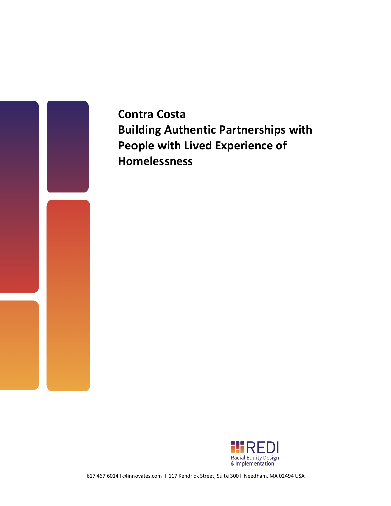

**Contra Costa Building Authentic Partnerships with People with Lived Experience of Homelessness** 



617 467 6014 l c4innovates.com l 117 Kendrick Street, Suite 300 l Needham, MA 02494 USA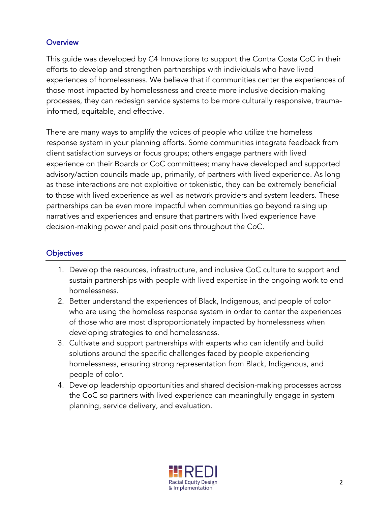### **Overview**

This guide was developed by C4 Innovations to support the Contra Costa CoC in their efforts to develop and strengthen partnerships with individuals who have lived experiences of homelessness. We believe that if communities center the experiences of those most impacted by homelessness and create more inclusive decision-making processes, they can redesign service systems to be more culturally responsive, traumainformed, equitable, and effective.

There are many ways to amplify the voices of people who utilize the homeless response system in your planning efforts. Some communities integrate feedback from client satisfaction surveys or focus groups; others engage partners with lived experience on their Boards or CoC committees; many have developed and supported advisory/action councils made up, primarily, of partners with lived experience. As long as these interactions are not exploitive or tokenistic, they can be extremely beneficial to those with lived experience as well as network providers and system leaders. These partnerships can be even more impactful when communities go beyond raising up narratives and experiences and ensure that partners with lived experience have decision-making power and paid positions throughout the CoC.

### **Objectives**

- 1. Develop the resources, infrastructure, and inclusive CoC culture to support and sustain partnerships with people with lived expertise in the ongoing work to end homelessness.
- 2. Better understand the experiences of Black, Indigenous, and people of color who are using the homeless response system in order to center the experiences of those who are most disproportionately impacted by homelessness when developing strategies to end homelessness.
- 3. Cultivate and support partnerships with experts who can identify and build solutions around the specific challenges faced by people experiencing homelessness, ensuring strong representation from Black, Indigenous, and people of color.
- 4. Develop leadership opportunities and shared decision-making processes across the CoC so partners with lived experience can meaningfully engage in system planning, service delivery, and evaluation.

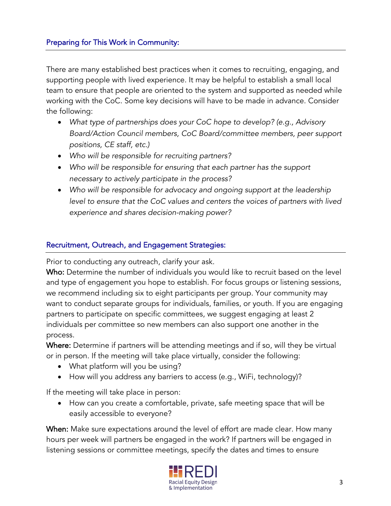There are many established best practices when it comes to recruiting, engaging, and supporting people with lived experience. It may be helpful to establish a small local team to ensure that people are oriented to the system and supported as needed while working with the CoC. Some key decisions will have to be made in advance. Consider the following:

- *What type of partnerships does your CoC hope to develop? (e.g., Advisory Board/Action Council members, CoC Board/committee members, peer support positions, CE staff, etc.)*
- *Who will be responsible for recruiting partners?*
- *Who will be responsible for ensuring that each partner has the support necessary to actively participate in the process?*
- *Who will be responsible for advocacy and ongoing support at the leadership*  level to ensure that the CoC values and centers the voices of partners with lived *experience and shares decision-making power?*

### Recruitment, Outreach, and Engagement Strategies:

Prior to conducting any outreach, clarify your ask.

Who: Determine the number of individuals you would like to recruit based on the level and type of engagement you hope to establish. For focus groups or listening sessions, we recommend including six to eight participants per group. Your community may want to conduct separate groups for individuals, families, or youth. If you are engaging partners to participate on specific committees, we suggest engaging at least 2 individuals per committee so new members can also support one another in the process.

Where: Determine if partners will be attending meetings and if so, will they be virtual or in person. If the meeting will take place virtually, consider the following:

- What platform will you be using?
- How will you address any barriers to access (e.g., WiFi, technology)?

If the meeting will take place in person:

• How can you create a comfortable, private, safe meeting space that will be easily accessible to everyone?

When: Make sure expectations around the level of effort are made clear. How many hours per week will partners be engaged in the work? If partners will be engaged in listening sessions or committee meetings, specify the dates and times to ensure

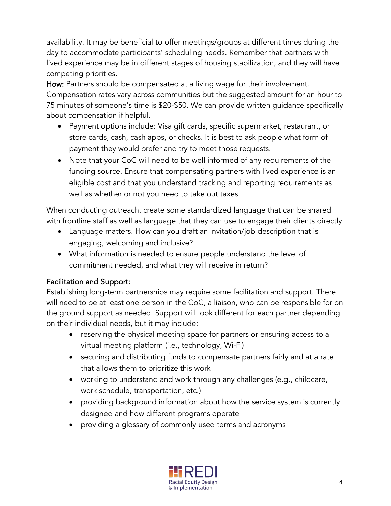availability. It may be beneficial to offer meetings/groups at different times during the day to accommodate participants' scheduling needs. Remember that partners with lived experience may be in different stages of housing stabilization, and they will have competing priorities.

How: Partners should be compensated at a living wage for their involvement. Compensation rates vary across communities but the suggested amount for an hour to 75 minutes of someone's time is \$20-\$50. We can provide written guidance specifically about compensation if helpful.

- Payment options include: Visa gift cards, specific supermarket, restaurant, or store cards, cash, cash apps, or checks. It is best to ask people what form of payment they would prefer and try to meet those requests.
- Note that your CoC will need to be well informed of any requirements of the funding source. Ensure that compensating partners with lived experience is an eligible cost and that you understand tracking and reporting requirements as well as whether or not you need to take out taxes.

When conducting outreach, create some standardized language that can be shared with frontline staff as well as language that they can use to engage their clients directly.

- Language matters. How can you draft an invitation/job description that is engaging, welcoming and inclusive?
- What information is needed to ensure people understand the level of commitment needed, and what they will receive in return?

# Facilitation and Support:

Establishing long-term partnerships may require some facilitation and support. There will need to be at least one person in the CoC, a liaison, who can be responsible for on the ground support as needed. Support will look different for each partner depending on their individual needs, but it may include:

- reserving the physical meeting space for partners or ensuring access to a virtual meeting platform (i.e., technology, Wi-Fi)
- securing and distributing funds to compensate partners fairly and at a rate that allows them to prioritize this work
- working to understand and work through any challenges (e.g., childcare, work schedule, transportation, etc.)
- providing background information about how the service system is currently designed and how different programs operate
- providing a glossary of commonly used terms and acronyms

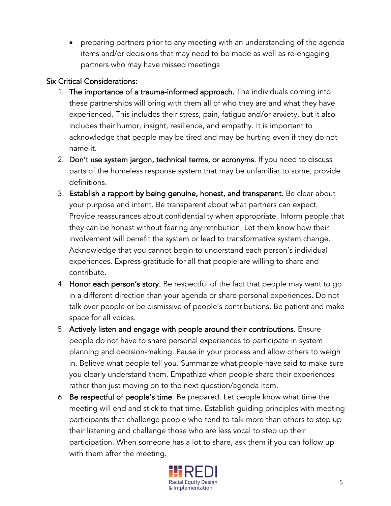• preparing partners prior to any meeting with an understanding of the agenda items and/or decisions that may need to be made as well as re-engaging partners who may have missed meetings

## Six Critical Considerations:

- 1. The importance of a trauma-informed approach. The individuals coming into these partnerships will bring with them all of who they are and what they have experienced. This includes their stress, pain, fatigue and/or anxiety, but it also includes their humor, insight, resilience, and empathy. It is important to acknowledge that people may be tired and may be hurting even if they do not name it.
- 2. Don't use system jargon, technical terms, or acronyms. If you need to discuss parts of the homeless response system that may be unfamiliar to some, provide definitions.
- 3. Establish a rapport by being genuine, honest, and transparent. Be clear about your purpose and intent. Be transparent about what partners can expect. Provide reassurances about confidentiality when appropriate. Inform people that they can be honest without fearing any retribution. Let them know how their involvement will benefit the system or lead to transformative system change. Acknowledge that you cannot begin to understand each person's individual experiences. Express gratitude for all that people are willing to share and contribute.
- 4. Honor each person's story. Be respectful of the fact that people may want to go in a different direction than your agenda or share personal experiences. Do not talk over people or be dismissive of people's contributions. Be patient and make space for all voices.
- 5. Actively listen and engage with people around their contributions. Ensure people do not have to share personal experiences to participate in system planning and decision-making. Pause in your process and allow others to weigh in. Believe what people tell you. Summarize what people have said to make sure you clearly understand them. Empathize when people share their experiences rather than just moving on to the next question/agenda item.
- 6. Be respectful of people's time. Be prepared. Let people know what time the meeting will end and stick to that time. Establish guiding principles with meeting participants that challenge people who tend to talk more than others to step up their listening and challenge those who are less vocal to step up their participation. When someone has a lot to share, ask them if you can follow up with them after the meeting.

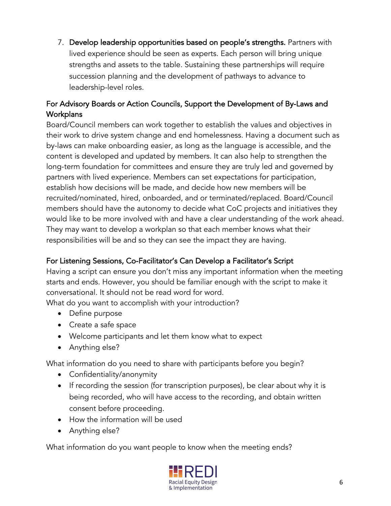7. Develop leadership opportunities based on people's strengths. Partners with lived experience should be seen as experts. Each person will bring unique strengths and assets to the table. Sustaining these partnerships will require succession planning and the development of pathways to advance to leadership-level roles.

# For Advisory Boards or Action Councils, Support the Development of By-Laws and **Workplans**

Board/Council members can work together to establish the values and objectives in their work to drive system change and end homelessness. Having a document such as by-laws can make onboarding easier, as long as the language is accessible, and the content is developed and updated by members. It can also help to strengthen the long-term foundation for committees and ensure they are truly led and governed by partners with lived experience. Members can set expectations for participation, establish how decisions will be made, and decide how new members will be recruited/nominated, hired, onboarded, and or terminated/replaced. Board/Council members should have the autonomy to decide what CoC projects and initiatives they would like to be more involved with and have a clear understanding of the work ahead. They may want to develop a workplan so that each member knows what their responsibilities will be and so they can see the impact they are having.

# For Listening Sessions, Co-Facilitator's Can Develop a Facilitator's Script

Having a script can ensure you don't miss any important information when the meeting starts and ends. However, you should be familiar enough with the script to make it conversational. It should not be read word for word.

What do you want to accomplish with your introduction?

- Define purpose
- Create a safe space
- Welcome participants and let them know what to expect
- Anything else?

What information do you need to share with participants before you begin?

- Confidentiality/anonymity
- If recording the session (for transcription purposes), be clear about why it is being recorded, who will have access to the recording, and obtain written consent before proceeding.
- How the information will be used
- Anything else?

What information do you want people to know when the meeting ends?